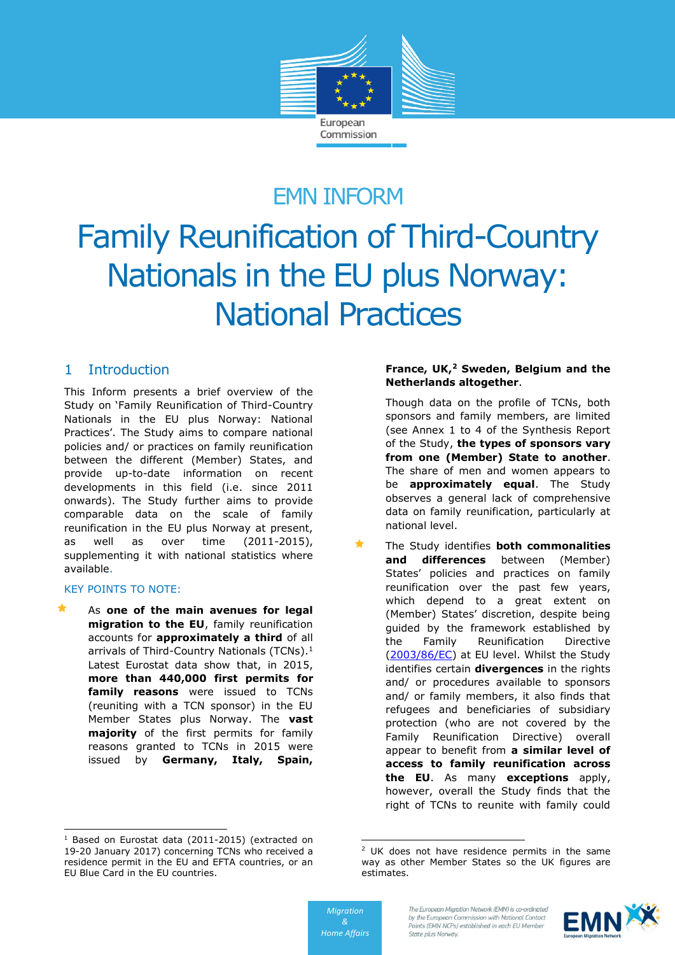

## EMN INFORM

# Family Reunification of Third-Country Nationals in the EU plus Norway: National Practices

### 1 Introduction

This Inform presents a brief overview of the Study on 'Family Reunification of Third-Country Nationals in the EU plus Norway: National Practices'. The Study aims to compare national policies and/ or practices on family reunification between the different (Member) States, and provide up-to-date information on recent developments in this field (i.e. since 2011 onwards). The Study further aims to provide comparable data on the scale of family reunification in the EU plus Norway at present, as well as over time (2011-2015), supplementing it with national statistics where available.

#### KEY POINTS TO NOTE:

-

 As **one of the main avenues for legal migration to the EU**, family reunification accounts for **approximately a third** of all arrivals of Third-Country Nationals (TCNs).<sup>1</sup> Latest Eurostat data show that, in 2015, **more than 440,000 first permits for family reasons** were issued to TCNs (reuniting with a TCN sponsor) in the EU Member States plus Norway. The **vast majority** of the first permits for family reasons granted to TCNs in 2015 were issued by **Germany, Italy, Spain,** 

#### **France, UK,<sup>2</sup> Sweden, Belgium and the Netherlands altogether**.

Though data on the profile of TCNs, both sponsors and family members, are limited (see Annex 1 to 4 of the Synthesis Report of the Study, **the types of sponsors vary from one (Member) State to another**. The share of men and women appears to be **approximately equal**. The Study observes a general lack of comprehensive data on family reunification, particularly at national level.

 The Study identifies **both commonalities and differences** between (Member) States' policies and practices on family reunification over the past few years, which depend to a great extent on (Member) States' discretion, despite being guided by the framework established by the Family Reunification Directive [\(2003/86/EC\)](http://eur-lex.europa.eu/LexUriServ/LexUriServ.do?uri=OJ:L:2003:251:0012:0018:EN:PDF) at EU level. Whilst the Study identifies certain **divergences** in the rights and/ or procedures available to sponsors and/ or family members, it also finds that refugees and beneficiaries of subsidiary protection (who are not covered by the Family Reunification Directive) overall appear to benefit from **a similar level of access to family reunification across the EU**. As many **exceptions** apply, however, overall the Study finds that the right of TCNs to reunite with family could



<sup>&</sup>lt;sup>1</sup> Based on Eurostat data (2011-2015) (extracted on 19-20 January 2017) concerning TCNs who received a residence permit in the EU and EFTA countries, or an EU Blue Card in the EU countries.

<sup>-</sup><sup>2</sup> UK does not have residence permits in the same way as other Member States so the UK figures are estimates.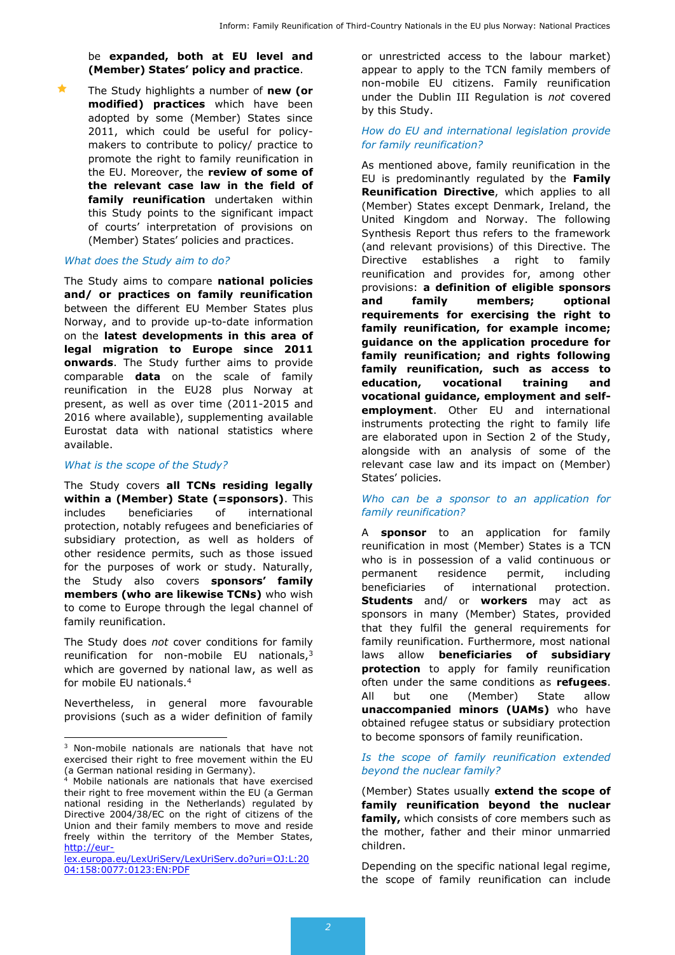be **expanded, both at EU level and (Member) States' policy and practice**.

 The Study highlights a number of **new (or modified) practices** which have been adopted by some (Member) States since 2011, which could be useful for policymakers to contribute to policy/ practice to promote the right to family reunification in the EU. Moreover, the **review of some of the relevant case law in the field of family reunification** undertaken within this Study points to the significant impact of courts' interpretation of provisions on (Member) States' policies and practices.

#### *What does the Study aim to do?*

The Study aims to compare **national policies and/ or practices on family reunification** between the different EU Member States plus Norway, and to provide up-to-date information on the **latest developments in this area of legal migration to Europe since 2011 onwards**. The Study further aims to provide comparable **data** on the scale of family reunification in the EU28 plus Norway at present, as well as over time (2011-2015 and 2016 where available), supplementing available Eurostat data with national statistics where available.

#### *What is the scope of the Study?*

The Study covers **all TCNs residing legally within a (Member) State (=sponsors)**. This includes beneficiaries of international protection, notably refugees and beneficiaries of subsidiary protection, as well as holders of other residence permits, such as those issued for the purposes of work or study. Naturally, the Study also covers **sponsors' family members (who are likewise TCNs)** who wish to come to Europe through the legal channel of family reunification.

The Study does *not* cover conditions for family reunification for non-mobile EU nationals,<sup>3</sup> which are governed by national law, as well as for mobile EU nationals.<sup>4</sup>

Nevertheless, in general more favourable provisions (such as a wider definition of family

or unrestricted access to the labour market) appear to apply to the TCN family members of non-mobile EU citizens. Family reunification under the Dublin III Regulation is *not* covered by this Study.

#### *How do EU and international legislation provide for family reunification?*

As mentioned above, family reunification in the EU is predominantly regulated by the **Family Reunification Directive**, which applies to all (Member) States except Denmark, Ireland, the United Kingdom and Norway. The following Synthesis Report thus refers to the framework (and relevant provisions) of this Directive. The Directive establishes a right to family reunification and provides for, among other provisions: **a definition of eligible sponsors and family members; optional requirements for exercising the right to family reunification, for example income; guidance on the application procedure for family reunification; and rights following family reunification, such as access to education, vocational training and vocational guidance, employment and selfemployment**. Other EU and international instruments protecting the right to family life are elaborated upon in Section 2 of the Study, alongside with an analysis of some of the relevant case law and its impact on (Member) States' policies.

#### *Who can be a sponsor to an application for family reunification?*

A **sponsor** to an application for family reunification in most (Member) States is a TCN who is in possession of a valid continuous or permanent residence permit, including beneficiaries of international protection. **Students** and/ or **workers** may act as sponsors in many (Member) States, provided that they fulfil the general requirements for family reunification. Furthermore, most national laws allow **beneficiaries of subsidiary protection** to apply for family reunification often under the same conditions as **refugees**. All but one (Member) State allow **unaccompanied minors (UAMs)** who have obtained refugee status or subsidiary protection to become sponsors of family reunification.

*Is the scope of family reunification extended beyond the nuclear family?*

(Member) States usually **extend the scope of family reunification beyond the nuclear family,** which consists of core members such as the mother, father and their minor unmarried children.

Depending on the specific national legal regime, the scope of family reunification can include

<sup>-</sup><sup>3</sup> Non-mobile nationals are nationals that have not exercised their right to free movement within the EU (a German national residing in Germany).

 $4$  Mobile nationals are nationals that have exercised their right to free movement within the EU (a German national residing in the Netherlands) regulated by Directive 2004/38/EC on the right of citizens of the Union and their family members to move and reside freely within the territory of the Member States, [http://eur-](http://eur-lex.europa.eu/LexUriServ/LexUriServ.do?uri=OJ:L:2004:158:0077:0123:EN:PDF)

[lex.europa.eu/LexUriServ/LexUriServ.do?uri=OJ:L:20](http://eur-lex.europa.eu/LexUriServ/LexUriServ.do?uri=OJ:L:2004:158:0077:0123:EN:PDF) [04:158:0077:0123:EN:PDF](http://eur-lex.europa.eu/LexUriServ/LexUriServ.do?uri=OJ:L:2004:158:0077:0123:EN:PDF)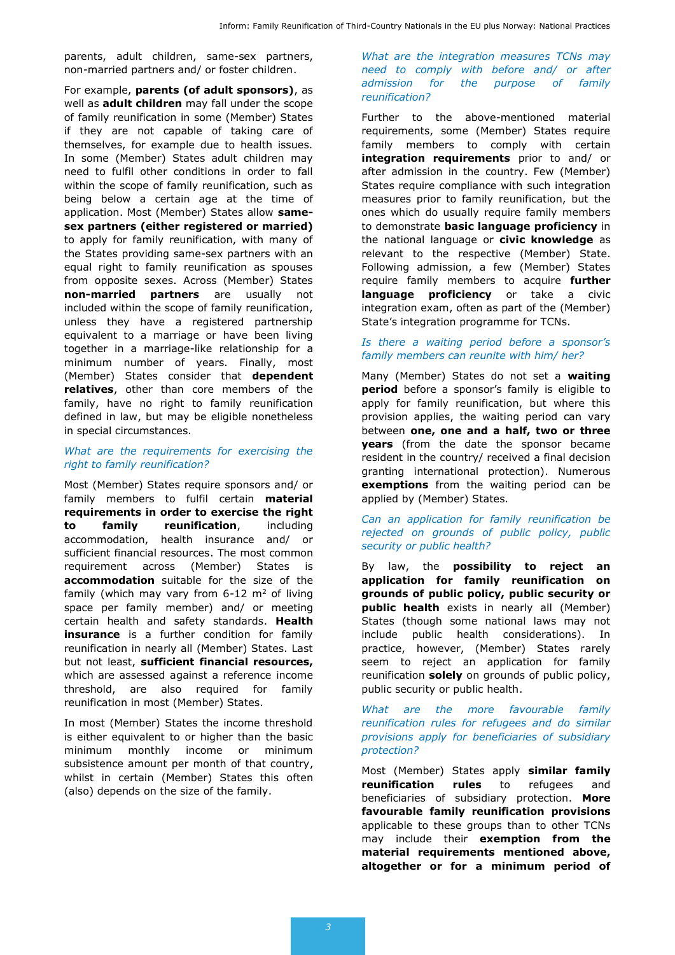parents, adult children, same-sex partners, non-married partners and/ or foster children.

For example, **parents (of adult sponsors)**, as well as **adult children** may fall under the scope of family reunification in some (Member) States if they are not capable of taking care of themselves, for example due to health issues. In some (Member) States adult children may need to fulfil other conditions in order to fall within the scope of family reunification, such as being below a certain age at the time of application. Most (Member) States allow **samesex partners (either registered or married)** to apply for family reunification, with many of the States providing same-sex partners with an equal right to family reunification as spouses from opposite sexes. Across (Member) States **non-married partners** are usually not included within the scope of family reunification, unless they have a registered partnership equivalent to a marriage or have been living together in a marriage-like relationship for a minimum number of years. Finally, most (Member) States consider that **dependent relatives**, other than core members of the family, have no right to family reunification defined in law, but may be eligible nonetheless in special circumstances.

#### *What are the requirements for exercising the right to family reunification?*

Most (Member) States require sponsors and/ or family members to fulfil certain **material requirements in order to exercise the right to family reunification**, including accommodation, health insurance and/ or sufficient financial resources. The most common requirement across (Member) States is **accommodation** suitable for the size of the family (which may vary from  $6-12$  m<sup>2</sup> of living space per family member) and/ or meeting certain health and safety standards. **Health insurance** is a further condition for family reunification in nearly all (Member) States. Last but not least, **sufficient financial resources,** which are assessed against a reference income threshold, are also required for family reunification in most (Member) States.

In most (Member) States the income threshold is either equivalent to or higher than the basic minimum monthly income or minimum subsistence amount per month of that country, whilst in certain (Member) States this often (also) depends on the size of the family.

*What are the integration measures TCNs may need to comply with before and/ or after admission for the purpose of family reunification?*

Further to the above-mentioned material requirements, some (Member) States require family members to comply with certain **integration requirements** prior to and/ or after admission in the country. Few (Member) States require compliance with such integration measures prior to family reunification, but the ones which do usually require family members to demonstrate **basic language proficiency** in the national language or **civic knowledge** as relevant to the respective (Member) State. Following admission, a few (Member) States require family members to acquire **further language proficiency** or take a civic integration exam, often as part of the (Member) State's integration programme for TCNs.

#### *Is there a waiting period before a sponsor's family members can reunite with him/ her?*

Many (Member) States do not set a **waiting period** before a sponsor's family is eligible to apply for family reunification, but where this provision applies, the waiting period can vary between **one, one and a half, two or three years** (from the date the sponsor became resident in the country/ received a final decision granting international protection). Numerous **exemptions** from the waiting period can be applied by (Member) States.

#### *Can an application for family reunification be rejected on grounds of public policy, public security or public health?*

By law, the **possibility to reject an application for family reunification on grounds of public policy, public security or public health** exists in nearly all (Member) States (though some national laws may not include public health considerations). In practice, however, (Member) States rarely seem to reject an application for family reunification **solely** on grounds of public policy, public security or public health.

#### *What are the more favourable family reunification rules for refugees and do similar provisions apply for beneficiaries of subsidiary protection?*

Most (Member) States apply **similar family reunification rules** to refugees and beneficiaries of subsidiary protection. **More favourable family reunification provisions** applicable to these groups than to other TCNs may include their **exemption from the material requirements mentioned above, altogether or for a minimum period of**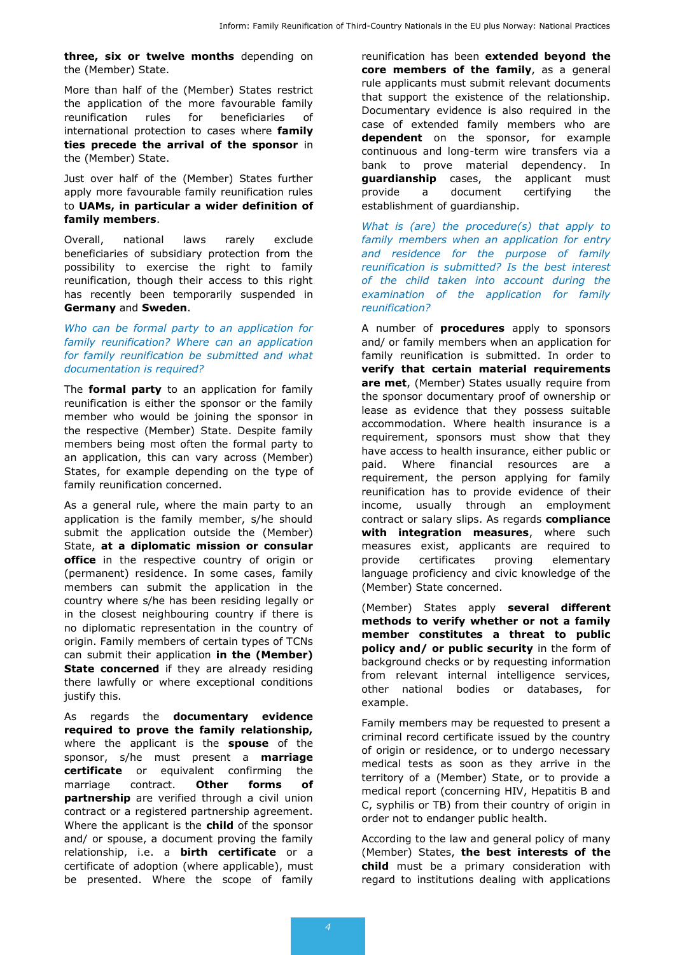**three, six or twelve months** depending on the (Member) State.

More than half of the (Member) States restrict the application of the more favourable family reunification rules for beneficiaries of international protection to cases where **family ties precede the arrival of the sponsor** in the (Member) State.

Just over half of the (Member) States further apply more favourable family reunification rules to **UAMs, in particular a wider definition of family members**.

Overall, national laws rarely exclude beneficiaries of subsidiary protection from the possibility to exercise the right to family reunification, though their access to this right has recently been temporarily suspended in **Germany** and **Sweden**.

*Who can be formal party to an application for family reunification? Where can an application for family reunification be submitted and what documentation is required?*

The **formal party** to an application for family reunification is either the sponsor or the family member who would be joining the sponsor in the respective (Member) State. Despite family members being most often the formal party to an application, this can vary across (Member) States, for example depending on the type of family reunification concerned.

As a general rule, where the main party to an application is the family member, s/he should submit the application outside the (Member) State, **at a diplomatic mission or consular office** in the respective country of origin or (permanent) residence. In some cases, family members can submit the application in the country where s/he has been residing legally or in the closest neighbouring country if there is no diplomatic representation in the country of origin. Family members of certain types of TCNs can submit their application **in the (Member) State concerned** if they are already residing there lawfully or where exceptional conditions justify this.

As regards the **documentary evidence required to prove the family relationship,**  where the applicant is the **spouse** of the sponsor, s/he must present a **marriage certificate** or equivalent confirming the marriage contract. **Other forms of partnership** are verified through a civil union contract or a registered partnership agreement. Where the applicant is the **child** of the sponsor and/ or spouse, a document proving the family relationship, i.e. a **birth certificate** or a certificate of adoption (where applicable), must be presented. Where the scope of family reunification has been **extended beyond the core members of the family**, as a general rule applicants must submit relevant documents that support the existence of the relationship. Documentary evidence is also required in the case of extended family members who are **dependent** on the sponsor, for example continuous and long-term wire transfers via a bank to prove material dependency. In **guardianship** cases, the applicant must provide a document certifying the establishment of guardianship.

*What is (are) the procedure(s) that apply to family members when an application for entry and residence for the purpose of family reunification is submitted? Is the best interest of the child taken into account during the examination of the application for family reunification?*

A number of **procedures** apply to sponsors and/ or family members when an application for family reunification is submitted. In order to **verify that certain material requirements are met**, (Member) States usually require from the sponsor documentary proof of ownership or lease as evidence that they possess suitable accommodation. Where health insurance is a requirement, sponsors must show that they have access to health insurance, either public or paid. Where financial resources are a requirement, the person applying for family reunification has to provide evidence of their income, usually through an employment contract or salary slips. As regards **compliance with integration measures**, where such measures exist, applicants are required to provide certificates proving elementary language proficiency and civic knowledge of the (Member) State concerned.

(Member) States apply **several different methods to verify whether or not a family member constitutes a threat to public policy and/ or public security** in the form of background checks or by requesting information from relevant internal intelligence services, other national bodies or databases, for example.

Family members may be requested to present a criminal record certificate issued by the country of origin or residence, or to undergo necessary medical tests as soon as they arrive in the territory of a (Member) State, or to provide a medical report (concerning HIV, Hepatitis B and C, syphilis or TB) from their country of origin in order not to endanger public health.

According to the law and general policy of many (Member) States, **the best interests of the child** must be a primary consideration with regard to institutions dealing with applications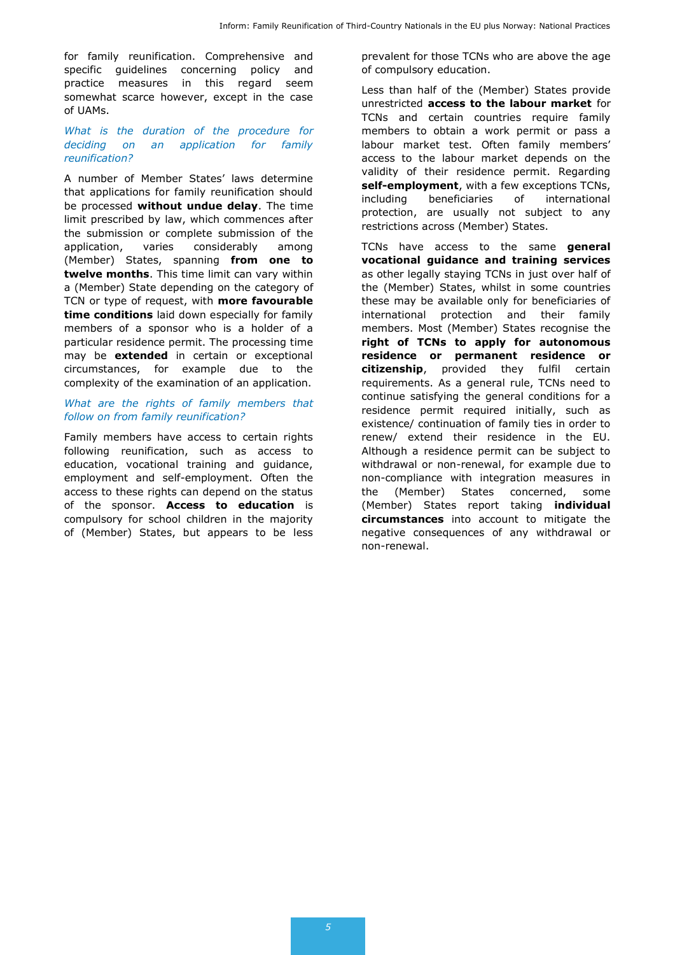for family reunification. Comprehensive and specific guidelines concerning policy and practice measures in this regard seem somewhat scarce however, except in the case of UAMs.

#### *What is the duration of the procedure for deciding on an application for family reunification?*

A number of Member States' laws determine that applications for family reunification should be processed **without undue delay**. The time limit prescribed by law, which commences after the submission or complete submission of the application, varies considerably among (Member) States, spanning **from one to twelve months**. This time limit can vary within a (Member) State depending on the category of TCN or type of request, with **more favourable time conditions** laid down especially for family members of a sponsor who is a holder of a particular residence permit. The processing time may be **extended** in certain or exceptional circumstances, for example due to the complexity of the examination of an application.

#### *What are the rights of family members that follow on from family reunification?*

Family members have access to certain rights following reunification, such as access to education, vocational training and guidance, employment and self-employment. Often the access to these rights can depend on the status of the sponsor. **Access to education** is compulsory for school children in the majority of (Member) States, but appears to be less

prevalent for those TCNs who are above the age of compulsory education.

Less than half of the (Member) States provide unrestricted **access to the labour market** for TCNs and certain countries require family members to obtain a work permit or pass a labour market test. Often family members' access to the labour market depends on the validity of their residence permit. Regarding **self-employment**, with a few exceptions TCNs, including beneficiaries of international protection, are usually not subject to any restrictions across (Member) States.

TCNs have access to the same **general vocational guidance and training services** as other legally staying TCNs in just over half of the (Member) States, whilst in some countries these may be available only for beneficiaries of international protection and their family members. Most (Member) States recognise the **right of TCNs to apply for autonomous residence or permanent residence or citizenship**, provided they fulfil certain requirements. As a general rule, TCNs need to continue satisfying the general conditions for a residence permit required initially, such as existence/ continuation of family ties in order to renew/ extend their residence in the EU. Although a residence permit can be subject to withdrawal or non-renewal, for example due to non-compliance with integration measures in the (Member) States concerned, some (Member) States report taking **individual circumstances** into account to mitigate the negative consequences of any withdrawal or non-renewal.